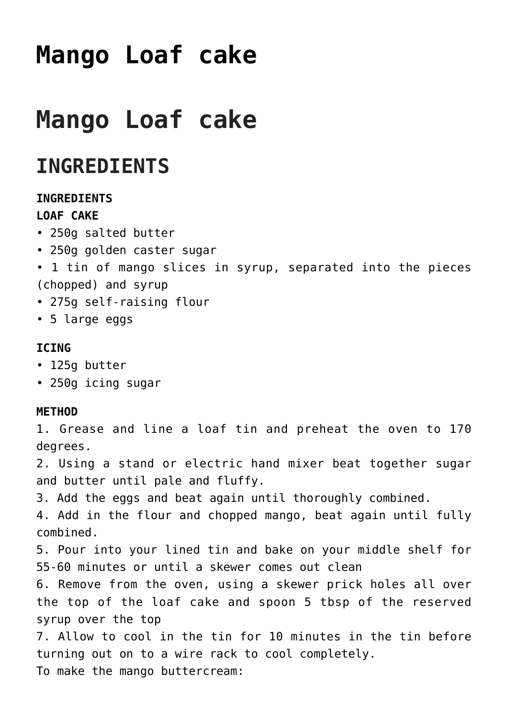# **[Mango Loaf cake](https://www.sarahjthomas.com/recipes/mango-loaf-cake/)**

# **Mango Loaf cake**

## **INGREDIENTS**

### **INGREDIENTS**

### **LOAF CAKE**

- 250g salted butter
- 250g golden caster sugar
- 1 tin of mango slices in syrup, separated into the pieces (chopped) and syrup
- 275g self-raising flour
- 5 large eggs

### **ICING**

- 125g butter
- 250g icing sugar

#### **METHOD**

1. Grease and line a loaf tin and preheat the oven to 170 degrees.

2. Using a stand or electric hand mixer beat together sugar and butter until pale and fluffy.

3. Add the eggs and beat again until thoroughly combined.

4. Add in the flour and chopped mango, beat again until fully combined.

5. Pour into your lined tin and bake on your middle shelf for 55-60 minutes or until a skewer comes out clean

6. Remove from the oven, using a skewer prick holes all over the top of the loaf cake and spoon 5 tbsp of the reserved syrup over the top

7. Allow to cool in the tin for 10 minutes in the tin before turning out on to a wire rack to cool completely. To make the mango buttercream: